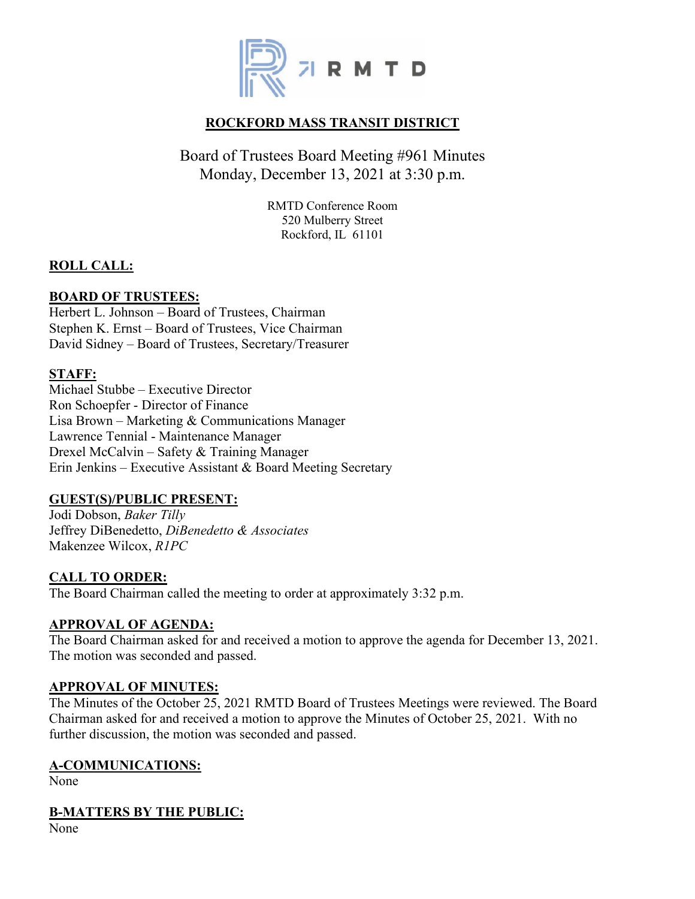

## **ROCKFORD MASS TRANSIT DISTRICT**

# Board of Trustees Board Meeting #961 Minutes Monday, December 13, 2021 at 3:30 p.m.

RMTD Conference Room 520 Mulberry Street Rockford, IL 61101

## **ROLL CALL:**

## **BOARD OF TRUSTEES:**

Herbert L. Johnson – Board of Trustees, Chairman Stephen K. Ernst – Board of Trustees, Vice Chairman David Sidney – Board of Trustees, Secretary/Treasurer

#### **STAFF:**

Michael Stubbe – Executive Director Ron Schoepfer - Director of Finance Lisa Brown – Marketing & Communications Manager Lawrence Tennial - Maintenance Manager Drexel McCalvin – Safety & Training Manager Erin Jenkins – Executive Assistant & Board Meeting Secretary

#### **GUEST(S)/PUBLIC PRESENT:**

Jodi Dobson, *Baker Tilly* Jeffrey DiBenedetto, *DiBenedetto & Associates* Makenzee Wilcox, *R1PC*

## **CALL TO ORDER:**

The Board Chairman called the meeting to order at approximately 3:32 p.m.

#### **APPROVAL OF AGENDA:**

The Board Chairman asked for and received a motion to approve the agenda for December 13, 2021. The motion was seconded and passed.

#### **APPROVAL OF MINUTES:**

The Minutes of the October 25, 2021 RMTD Board of Trustees Meetings were reviewed. The Board Chairman asked for and received a motion to approve the Minutes of October 25, 2021. With no further discussion, the motion was seconded and passed.

#### **A-COMMUNICATIONS:**

None

## **B-MATTERS BY THE PUBLIC:**

None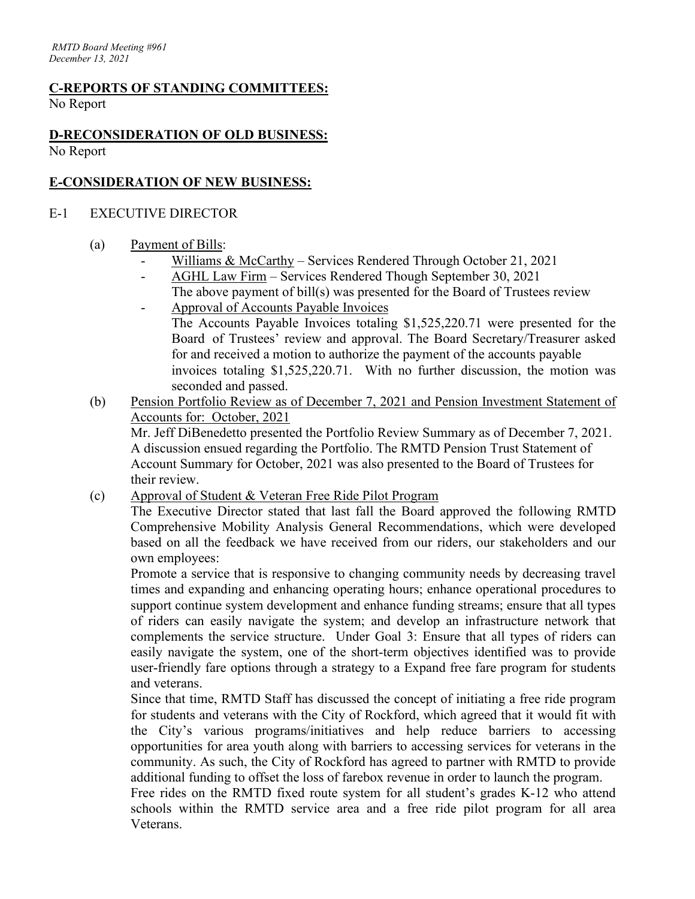# **C-REPORTS OF STANDING COMMITTEES:**

No Report

## **D-RECONSIDERATION OF OLD BUSINESS:** No Report

## **E-CONSIDERATION OF NEW BUSINESS:**

## E-1 EXECUTIVE DIRECTOR

## (a) Payment of Bills:

- Williams & McCarthy Services Rendered Through October 21, 2021
- AGHL Law Firm Services Rendered Though September 30, 2021
- The above payment of bill(s) was presented for the Board of Trustees review - Approval of Accounts Payable Invoices

The Accounts Payable Invoices totaling \$1,525,220.71 were presented for the Board of Trustees' review and approval. The Board Secretary/Treasurer asked for and received a motion to authorize the payment of the accounts payable invoices totaling \$1,525,220.71. With no further discussion, the motion was seconded and passed.

(b) Pension Portfolio Review as of December 7, 2021 and Pension Investment Statement of Accounts for: October, 2021

Mr. Jeff DiBenedetto presented the Portfolio Review Summary as of December 7, 2021. A discussion ensued regarding the Portfolio. The RMTD Pension Trust Statement of Account Summary for October, 2021 was also presented to the Board of Trustees for their review.

(c) Approval of Student & Veteran Free Ride Pilot Program

The Executive Director stated that last fall the Board approved the following RMTD Comprehensive Mobility Analysis General Recommendations, which were developed based on all the feedback we have received from our riders, our stakeholders and our own employees:

Promote a service that is responsive to changing community needs by decreasing travel times and expanding and enhancing operating hours; enhance operational procedures to support continue system development and enhance funding streams; ensure that all types of riders can easily navigate the system; and develop an infrastructure network that complements the service structure. Under Goal 3: Ensure that all types of riders can easily navigate the system, one of the short-term objectives identified was to provide user-friendly fare options through a strategy to a Expand free fare program for students and veterans.

Since that time, RMTD Staff has discussed the concept of initiating a free ride program for students and veterans with the City of Rockford, which agreed that it would fit with the City's various programs/initiatives and help reduce barriers to accessing opportunities for area youth along with barriers to accessing services for veterans in the community. As such, the City of Rockford has agreed to partner with RMTD to provide additional funding to offset the loss of farebox revenue in order to launch the program.

Free rides on the RMTD fixed route system for all student's grades K-12 who attend schools within the RMTD service area and a free ride pilot program for all area Veterans.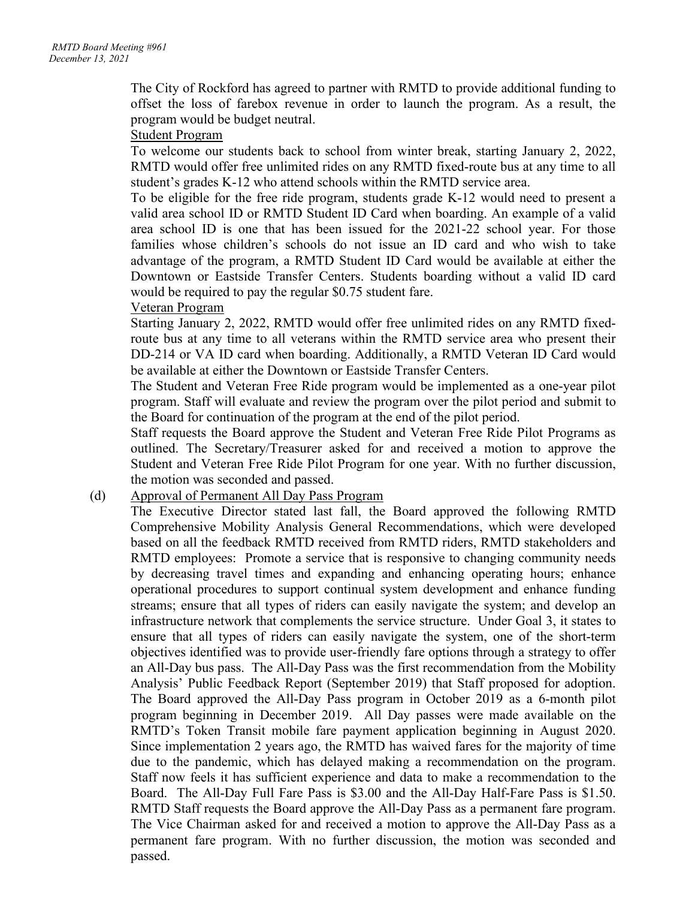The City of Rockford has agreed to partner with RMTD to provide additional funding to offset the loss of farebox revenue in order to launch the program. As a result, the program would be budget neutral.

#### Student Program

To welcome our students back to school from winter break, starting January 2, 2022, RMTD would offer free unlimited rides on any RMTD fixed-route bus at any time to all student's grades K-12 who attend schools within the RMTD service area.

To be eligible for the free ride program, students grade K-12 would need to present a valid area school ID or RMTD Student ID Card when boarding. An example of a valid area school ID is one that has been issued for the 2021-22 school year. For those families whose children's schools do not issue an ID card and who wish to take advantage of the program, a RMTD Student ID Card would be available at either the Downtown or Eastside Transfer Centers. Students boarding without a valid ID card would be required to pay the regular \$0.75 student fare.

## Veteran Program

Starting January 2, 2022, RMTD would offer free unlimited rides on any RMTD fixedroute bus at any time to all veterans within the RMTD service area who present their DD-214 or VA ID card when boarding. Additionally, a RMTD Veteran ID Card would be available at either the Downtown or Eastside Transfer Centers.

The Student and Veteran Free Ride program would be implemented as a one-year pilot program. Staff will evaluate and review the program over the pilot period and submit to the Board for continuation of the program at the end of the pilot period.

Staff requests the Board approve the Student and Veteran Free Ride Pilot Programs as outlined. The Secretary/Treasurer asked for and received a motion to approve the Student and Veteran Free Ride Pilot Program for one year. With no further discussion, the motion was seconded and passed.

#### (d) Approval of Permanent All Day Pass Program

The Executive Director stated last fall, the Board approved the following RMTD Comprehensive Mobility Analysis General Recommendations, which were developed based on all the feedback RMTD received from RMTD riders, RMTD stakeholders and RMTD employees: Promote a service that is responsive to changing community needs by decreasing travel times and expanding and enhancing operating hours; enhance operational procedures to support continual system development and enhance funding streams; ensure that all types of riders can easily navigate the system; and develop an infrastructure network that complements the service structure. Under Goal 3, it states to ensure that all types of riders can easily navigate the system, one of the short-term objectives identified was to provide user-friendly fare options through a strategy to offer an All-Day bus pass. The All-Day Pass was the first recommendation from the Mobility Analysis' Public Feedback Report (September 2019) that Staff proposed for adoption. The Board approved the All-Day Pass program in October 2019 as a 6-month pilot program beginning in December 2019. All Day passes were made available on the RMTD's Token Transit mobile fare payment application beginning in August 2020. Since implementation 2 years ago, the RMTD has waived fares for the majority of time due to the pandemic, which has delayed making a recommendation on the program. Staff now feels it has sufficient experience and data to make a recommendation to the Board. The All-Day Full Fare Pass is \$3.00 and the All-Day Half-Fare Pass is \$1.50. RMTD Staff requests the Board approve the All-Day Pass as a permanent fare program. The Vice Chairman asked for and received a motion to approve the All-Day Pass as a permanent fare program. With no further discussion, the motion was seconded and passed.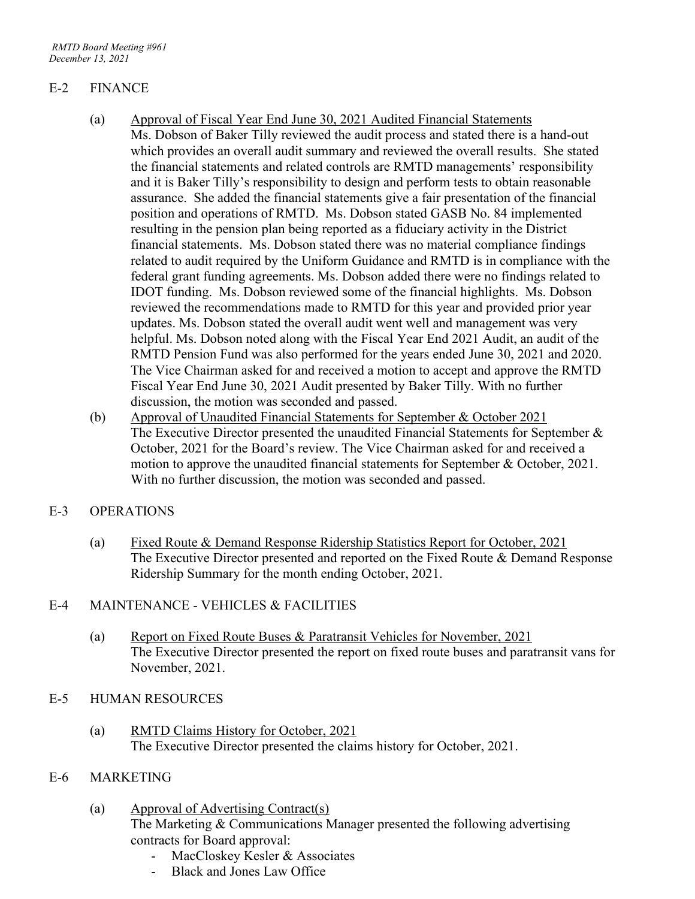## E-2 FINANCE

- (a) Approval of Fiscal Year End June 30, 2021 Audited Financial Statements Ms. Dobson of Baker Tilly reviewed the audit process and stated there is a hand-out which provides an overall audit summary and reviewed the overall results. She stated the financial statements and related controls are RMTD managements' responsibility and it is Baker Tilly's responsibility to design and perform tests to obtain reasonable assurance. She added the financial statements give a fair presentation of the financial position and operations of RMTD. Ms. Dobson stated GASB No. 84 implemented resulting in the pension plan being reported as a fiduciary activity in the District financial statements. Ms. Dobson stated there was no material compliance findings related to audit required by the Uniform Guidance and RMTD is in compliance with the federal grant funding agreements. Ms. Dobson added there were no findings related to IDOT funding. Ms. Dobson reviewed some of the financial highlights. Ms. Dobson reviewed the recommendations made to RMTD for this year and provided prior year updates. Ms. Dobson stated the overall audit went well and management was very helpful. Ms. Dobson noted along with the Fiscal Year End 2021 Audit, an audit of the RMTD Pension Fund was also performed for the years ended June 30, 2021 and 2020. The Vice Chairman asked for and received a motion to accept and approve the RMTD Fiscal Year End June 30, 2021 Audit presented by Baker Tilly. With no further discussion, the motion was seconded and passed.
- (b) Approval of Unaudited Financial Statements for September & October 2021 The Executive Director presented the unaudited Financial Statements for September & October, 2021 for the Board's review. The Vice Chairman asked for and received a motion to approve the unaudited financial statements for September & October, 2021. With no further discussion, the motion was seconded and passed.

## E-3 OPERATIONS

(a) Fixed Route & Demand Response Ridership Statistics Report for October, 2021 The Executive Director presented and reported on the Fixed Route & Demand Response Ridership Summary for the month ending October, 2021.

## E-4 MAINTENANCE - VEHICLES & FACILITIES

- (a) Report on Fixed Route Buses & Paratransit Vehicles for November, 2021 The Executive Director presented the report on fixed route buses and paratransit vans for November, 2021.
- E-5 HUMAN RESOURCES
	- (a) RMTD Claims History for October, 2021 The Executive Director presented the claims history for October, 2021.

## E-6 MARKETING

- (a) Approval of Advertising Contract(s) The Marketing & Communications Manager presented the following advertising contracts for Board approval:
	- MacCloskey Kesler & Associates
	- Black and Jones Law Office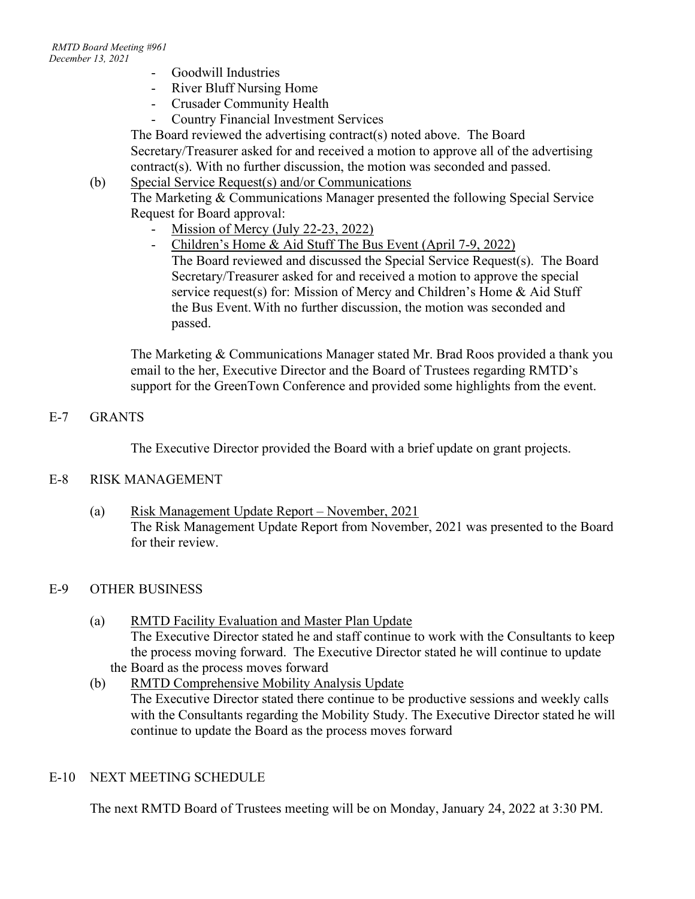- Goodwill Industries
- River Bluff Nursing Home
- Crusader Community Health
- Country Financial Investment Services

The Board reviewed the advertising contract(s) noted above. The Board Secretary/Treasurer asked for and received a motion to approve all of the advertising contract(s). With no further discussion, the motion was seconded and passed.

(b) Special Service Request(s) and/or Communications

The Marketing & Communications Manager presented the following Special Service Request for Board approval:

- Mission of Mercy (July 22-23, 2022)
- Children's Home & Aid Stuff The Bus Event (April 7-9, 2022)

The Board reviewed and discussed the Special Service Request(s). The Board Secretary/Treasurer asked for and received a motion to approve the special service request(s) for: Mission of Mercy and Children's Home & Aid Stuff the Bus Event.With no further discussion, the motion was seconded and passed.

The Marketing & Communications Manager stated Mr. Brad Roos provided a thank you email to the her, Executive Director and the Board of Trustees regarding RMTD's support for the GreenTown Conference and provided some highlights from the event.

## E-7 GRANTS

The Executive Director provided the Board with a brief update on grant projects.

## E-8 RISK MANAGEMENT

(a) Risk Management Update Report – November, 2021 The Risk Management Update Report from November, 2021 was presented to the Board for their review.

## E-9 OTHER BUSINESS

- (a) RMTD Facility Evaluation and Master Plan Update The Executive Director stated he and staff continue to work with the Consultants to keep the process moving forward. The Executive Director stated he will continue to update the Board as the process moves forward
- (b) RMTD Comprehensive Mobility Analysis Update The Executive Director stated there continue to be productive sessions and weekly calls with the Consultants regarding the Mobility Study. The Executive Director stated he will continue to update the Board as the process moves forward

## E-10 NEXT MEETING SCHEDULE

The next RMTD Board of Trustees meeting will be on Monday, January 24, 2022 at 3:30 PM.